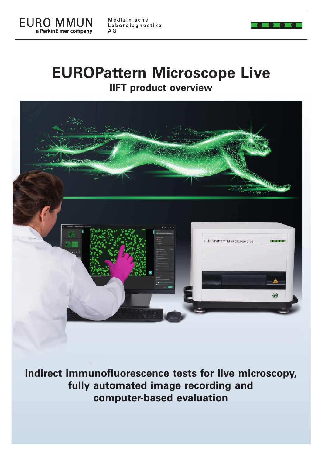

Medizinische Labordiagnostika  $AG$ 

## **EUROPattern Microscope Live IIFT product overview**



**Indirect immunofluorescence tests for live microscopy, fully automated image recording and computer-based evaluation**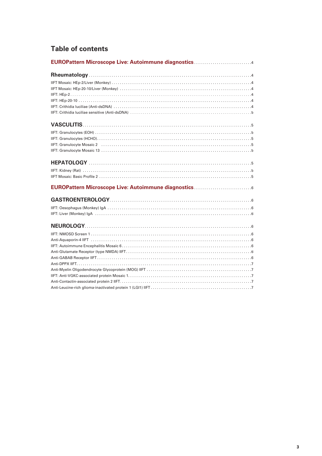## **Table of contents**

| EUROPattern Microscope Live: Autoimmune diagnostics |
|-----------------------------------------------------|
|                                                     |
|                                                     |
|                                                     |
|                                                     |
|                                                     |
|                                                     |
|                                                     |
|                                                     |
|                                                     |
|                                                     |
|                                                     |
|                                                     |
|                                                     |
|                                                     |
|                                                     |
|                                                     |
|                                                     |
|                                                     |
|                                                     |
|                                                     |
|                                                     |
|                                                     |
|                                                     |
|                                                     |
|                                                     |
|                                                     |
|                                                     |
|                                                     |
|                                                     |
|                                                     |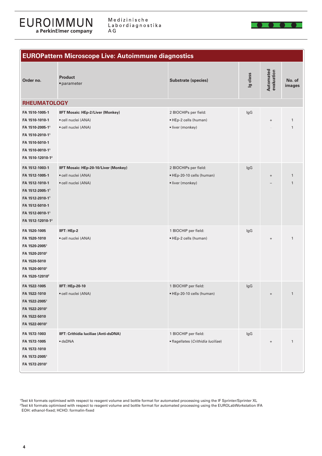

Medizinische Labordiagnostika A G



| <b>EUROPattern Microscope Live: Autoimmune diagnostics</b>                                                                                                            |                                                                                        |                                                                        |          |                                  |                              |
|-----------------------------------------------------------------------------------------------------------------------------------------------------------------------|----------------------------------------------------------------------------------------|------------------------------------------------------------------------|----------|----------------------------------|------------------------------|
| Order no.                                                                                                                                                             | <b>Product</b><br>· parameter                                                          | <b>Substrate (species)</b>                                             | Ig class | Automated<br>evaluation          | No. of<br>images             |
| <b>RHEUMATOLOGY</b>                                                                                                                                                   |                                                                                        |                                                                        |          |                                  |                              |
| FA 1510-1005-1<br>FA 1510-1010-1<br>FA 1510-2005-11<br>FA 1510-2010-11<br>FA 1510-5010-1<br>FA 1510-0010-11                                                           | <b>IIFT Mosaic: HEp-2/Liver (Monkey)</b><br>· cell nuclei (ANA)<br>· cell nuclei (ANA) | 2 BIOCHIPs per field:<br>• HEp-2 cells (human)<br>· liver (monkey)     | IgG      | $\ddot{}$                        | $\mathbf{1}$<br>$\mathbf{1}$ |
| FA 1510-12010-12<br>FA 1512-1003-1<br>FA 1512-1005-1<br>FA 1512-1010-1<br>FA 1512-2005-11<br>FA 1512-2010-11<br>FA 1512-5010-1<br>FA 1512-0010-11<br>FA 1512-12010-12 | IIFT Mosaic: HEp-20-10/Liver (Monkey)<br>· cell nuclei (ANA)<br>· cell nuclei (ANA)    | 2 BIOCHIPs per field:<br>• HEp-20-10 cells (human)<br>· liver (monkey) | IgG      | $\ddot{}$                        | $\mathbf{1}$<br>$\mathbf{1}$ |
| FA 1520-1005<br>FA 1520-1010<br>FA 1520-20051<br>FA 1520-20101<br>FA 1520-5010<br>FA 1520-00101<br>FA 1520-12010 <sup>2</sup>                                         | IIFT: HEp-2<br>· cell nuclei (ANA)                                                     | 1 BIOCHIP per field:<br>• HEp-2 cells (human)                          | lgG      | $\begin{array}{c} + \end{array}$ | $\mathbf{1}$                 |
| FA 1522-1005<br>FA 1522-1010<br>FA 1522-20051<br>FA 1522-20101<br>FA 1522-5010<br>FA 1522-00101                                                                       | <b>IIFT: HEp-20-10</b><br>· cell nuclei (ANA)                                          | 1 BIOCHIP per field:<br>• HEp-20-10 cells (human)                      | lgG      | $\begin{array}{c} + \end{array}$ | $\mathbf{1}$                 |
| FA 1572-1003<br>FA 1572-1005<br>FA 1572-1010<br>FA 1572-2005 <sup>1</sup><br>FA 1572-20101                                                                            | IIFT: Crithidia Iuciliae (Anti-dsDNA)<br>$\bullet$ dsDNA                               | 1 BIOCHIP per field:<br>· flagellates (Crithidia luciliae)             | IgG      | $\ddot{}$                        | $\mathbf{1}$                 |

<sup>1</sup>Test kit formats optimised with respect to reagent volume and bottle format for automated processing using the IF Sprinter/Sprinter XL 2 Test kit formats optimised with respect to reagent volume and bottle format for automated processing using the EUROLabWorkstation IFA EOH: ethanol-fixed; HCHO: formalin-fixed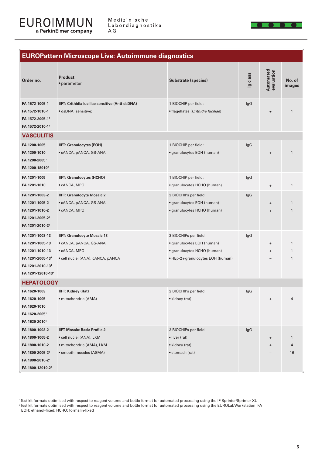Medizinische Labordiagnostika  $\mathsf{A}\mathop{\mathsf{G}}$ 



| <b>EUROPattern Microscope Live: Autoimmune diagnostics</b>                                                                     |                                                                                                                         |                                                                                                                        |                                  |                                  |                         |
|--------------------------------------------------------------------------------------------------------------------------------|-------------------------------------------------------------------------------------------------------------------------|------------------------------------------------------------------------------------------------------------------------|----------------------------------|----------------------------------|-------------------------|
| Order no.                                                                                                                      | <b>Product</b><br>• parameter                                                                                           | <b>Substrate (species)</b>                                                                                             | Ig class                         | Automated<br>evaluation          | No. of<br>images        |
| FA 1572-1005-1<br>FA 1572-1010-1<br>FA 1572-2005-11<br>FA 1572-2010-11                                                         | IIFT: Crithidia luciliae sensitive (Anti-dsDNA)<br>· dsDNA (sensitive)                                                  | 1 BIOCHIP per field:<br>· flagellates (Crithidia luciliae)                                                             | lgG                              | $\begin{array}{c} + \end{array}$ | $\mathbf{1}$            |
| <b>VASCULITIS</b>                                                                                                              |                                                                                                                         |                                                                                                                        |                                  |                                  |                         |
| FA 1200-1005<br>FA 1200-1010<br>FA 1200-2005 <sup>1</sup><br>FA 1200-18010 <sup>2</sup>                                        | <b>IIFT: Granulocytes (EOH)</b><br>• cANCA, pANCA, GS-ANA                                                               | 1 BIOCHIP per field:<br>• granulocytes EOH (human)                                                                     | lgG                              | $^{+}$                           | $\mathbf{1}$            |
| FA 1201-1005<br>FA 1201-1010                                                                                                   | <b>IIFT: Granulocytes (HCHO)</b><br>• cANCA, MPO                                                                        | 1 BIOCHIP per field:<br>• granulocytes HCHO (human)                                                                    | lgG                              |                                  | $\mathbf{1}$            |
| FA 1201-1003-2<br>FA 1201-1005-2<br>FA 1201-1010-2<br>FA 1201-2005-21<br>FA 1201-2010-21                                       | <b>IIFT: Granulocyte Mosaic 2</b><br>• cANCA, pANCA, GS-ANA<br>• cANCA, MPO                                             | 2 BIOCHIPs per field:<br>• granulocytes EOH (human)<br>• granulocytes HCHO (human)                                     | lgG                              | $^{+}$                           | $\mathbf{1}$<br>1       |
| FA 1201-1003-13<br>FA 1201-1005-13<br>FA 1201-1010-13<br>FA 1201-2005-131<br>FA 1201-2010-131<br>FA 1201-12010-13 <sup>2</sup> | <b>IIFT: Granulocyte Mosaic 13</b><br>• cANCA, pANCA, GS-ANA<br>· cANCA, MPO<br>• cell nuclei (ANA), cANCA, pANCA       | 3 BIOCHIPs per field:<br>• granulocytes EOH (human)<br>• granulocytes HCHO (human)<br>• HEp-2+granulocytes EOH (human) | lgG                              | $^{+}$<br>$^{+}$                 | 1<br>$\mathbf{1}$<br>1  |
| <b>HEPATOLOGY</b>                                                                                                              |                                                                                                                         |                                                                                                                        |                                  |                                  |                         |
| FA 1620-1003<br>FA 1620-1005<br>FA 1620-1010<br>FA 1620-20051<br>FA 1620-2010 <sup>1</sup>                                     | <b>IIFT: Kidney (Rat)</b><br>· mitochondria (AMA)                                                                       | 2 BIOCHIPs per field:<br>• kidney (rat)                                                                                | $\mathsf{I}\mathsf{g}\mathsf{G}$ | $\, +$                           | 4                       |
| FA 1800-1003-2<br>FA 1800-1005-2<br>FA 1800-1010-2<br>FA 1800-2005-21<br>FA 1800-2010-21<br>FA 1800-12010-2 <sup>2</sup>       | <b>IIFT Mosaic: Basic Profile 2</b><br>• cell nuclei (ANA), LKM<br>· mitochondria (AMA), LKM<br>• smooth muscles (ASMA) | 3 BIOCHIPs per field:<br>· liver (rat)<br>• kidney (rat)<br>• stomach (rat)                                            | IgG                              | $^{+}$<br>$^{+}$                 | $\mathbf{1}$<br>4<br>16 |

1 Test kit formats optimised with respect to reagent volume and bottle format for automated processing using the IF Sprinter/Sprinter XL 2 Test kit formats optimised with respect to reagent volume and bottle format for automated processing using the EUROLabWorkstation IFA EOH: ethanol-fixed; HCHO: formalin-fixed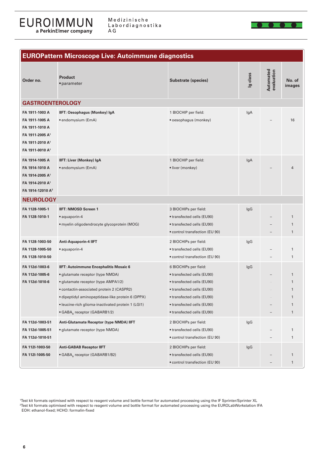

Medizinische Labordiagnostika  $\mathsf{A}\mathop{\mathsf{G}}$ 



| <b>EUROPattern Microscope Live: Autoimmune diagnostics</b>                                                                                      |                                                                                                                                                                                                                                                                                                                       |                                                                                                                                                                                                           |          |                         |                                                                   |
|-------------------------------------------------------------------------------------------------------------------------------------------------|-----------------------------------------------------------------------------------------------------------------------------------------------------------------------------------------------------------------------------------------------------------------------------------------------------------------------|-----------------------------------------------------------------------------------------------------------------------------------------------------------------------------------------------------------|----------|-------------------------|-------------------------------------------------------------------|
| Order no.                                                                                                                                       | <b>Product</b><br>• parameter                                                                                                                                                                                                                                                                                         | <b>Substrate (species)</b>                                                                                                                                                                                | Ig class | Automated<br>evaluation | No. of<br>images                                                  |
| <b>GASTROENTEROLOGY</b>                                                                                                                         |                                                                                                                                                                                                                                                                                                                       |                                                                                                                                                                                                           |          |                         |                                                                   |
| FA 1911-1003 A<br>FA 1911-1005 A<br>FA 1911-1010 A<br>FA 1911-2005 A <sup>1</sup><br>FA 1911-2010 A <sup>1</sup><br>FA 1911-0010 A <sup>1</sup> | <b>IIFT: Oesophagus (Monkey) IgA</b><br>• endomysium (EmA)                                                                                                                                                                                                                                                            | 1 BIOCHIP per field:<br>• oesophagus (monkey)                                                                                                                                                             | lgA      |                         | 16                                                                |
| FA 1914-1005 A<br>FA 1914-1010 A<br>FA 1914-2005 A <sup>1</sup><br>FA 1914-2010 A <sup>1</sup><br>FA 1914-12010 A <sup>2</sup>                  | <b>IIFT: Liver (Monkey) IgA</b><br>• endomysium (EmA)                                                                                                                                                                                                                                                                 | 1 BIOCHIP per field:<br>· liver (monkey)                                                                                                                                                                  | lgA      |                         | 4                                                                 |
| <b>NEUROLOGY</b>                                                                                                                                |                                                                                                                                                                                                                                                                                                                       |                                                                                                                                                                                                           |          |                         |                                                                   |
| FA 1128-1005-1<br>FA 1128-1010-1                                                                                                                | <b>IIFT: NMOSD Screen 1</b><br>· aquaporin-4<br>· myelin oligodendrocyte glycoprotein (MOG)                                                                                                                                                                                                                           | 3 BIOCHIPs per field:<br>• transfected cells (EU90)<br>• transfected cells (EU90)<br>• control transfection (EU 90)                                                                                       | lgG      |                         | $\mathbf{1}$<br>$\mathbf{1}$<br>1                                 |
| FA 1128-1003-50<br>FA 1128-1005-50<br>FA 1128-1010-50                                                                                           | Anti-Aquaporin-4 IIFT<br>· aquaporin-4                                                                                                                                                                                                                                                                                | 2 BIOCHIPs per field:<br>• transfected cells (EU90)<br>• control transfection (EU 90)                                                                                                                     | lgG      |                         | $\mathbf{1}$<br>1                                                 |
| FA 112d-1003-6<br>FA 112d-1005-6<br>FA 112d-1010-6                                                                                              | IIFT: Autoimmune Encephalitis Mosaic 6<br>· glutamate receptor (type NMDA)<br>• glutamate receptor (type AMPA1/2)<br>· contactin-associated protein 2 (CASPR2)<br>· dipeptidyl aminopeptidase-like protein 6 (DPPX)<br>• leucine-rich glioma-inactivated protein 1 (LGI1)<br>• GABA <sub>B</sub> receptor (GABARB1/2) | 6 BIOCHIPs per field:<br>• transfected cells (EU90)<br>• transfected cells (EU90)<br>• transfected cells (EU90)<br>• transfected cells (EU90)<br>• transfected cells (EU90)<br>• transfected cells (EU90) | IgG      |                         | $\mathbf{1}$<br>$\mathbf{1}$<br>1<br>$\mathbf{1}$<br>$\mathbf{1}$ |
| FA 112d-1003-51<br>FA 112d-1005-51<br>FA 112d-1010-51                                                                                           | Anti-Glutamate Receptor (type NMDA) IIFT<br>· glutamate receptor (type NMDA)                                                                                                                                                                                                                                          | 2 BIOCHIPs per field:<br>• transfected cells (EU90)<br>• control transfection (EU 90)                                                                                                                     | IgG      |                         | 1<br>1                                                            |
| FA 112l-1003-50<br>FA 112l-1005-50                                                                                                              | <b>Anti-GABAB Receptor IIFT</b><br>• GABA <sub>R</sub> receptor (GABARB1/B2)                                                                                                                                                                                                                                          | 2 BIOCHIPs per field:<br>• transfected cells (EU90)<br>• control transfection (EU 90)                                                                                                                     | IgG      |                         | 1<br>1                                                            |

Test kit formats optimised with respect to reagent volume and bottle format for automated processing using the IF Sprinter/Sprinter XL<br>Test kit formats optimised with respect to reagent volume and bottle format for automat EOH: ethanol-fixed; HCHO: formalin-fixed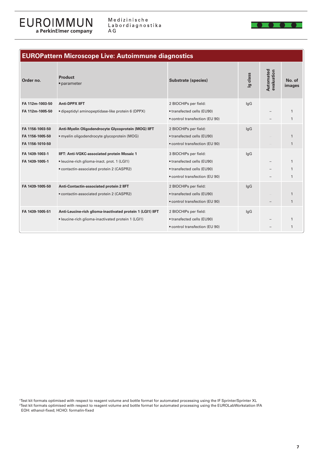

| <b>EUROPattern Microscope Live: Autoimmune diagnostics</b> |                                                            |                                                              |          |                         |                              |
|------------------------------------------------------------|------------------------------------------------------------|--------------------------------------------------------------|----------|-------------------------|------------------------------|
| Order no.                                                  | <b>Product</b><br>• parameter                              | <b>Substrate (species)</b>                                   | Ig class | Automated<br>evaluation | No. of<br>images             |
| FA 112m-1003-50                                            | <b>Anti-DPPX IIFT</b>                                      | 2 BIOCHIPs per field:                                        | lgG      |                         |                              |
| FA 112m-1005-50                                            | · dipeptidyl aminopeptidase-like protein 6 (DPPX)          | • transfected cells (EU90)<br>• control transfection (EU 90) |          |                         | $\mathbf{1}$<br>$\mathbf{1}$ |
| FA 1156-1003-50                                            | Anti-Myelin Oligodendrocyte Glycoprotein (MOG) IIFT        | 2 BIOCHIPs per field:                                        | lgG      |                         |                              |
| FA 1156-1005-50                                            | · myelin oligodendrocyte glycoprotein (MOG)                | • transfected cells (EU90)                                   |          |                         | $\mathbf{1}$                 |
| FA 1156-1010-50                                            |                                                            | • control transfection (EU 90)                               |          |                         | $\mathbf{1}$                 |
| FA 1439-1003-1                                             | IIFT: Anti-VGKC-associated protein Mosaic 1                | 3 BIOCHIPs per field:                                        | lgG      |                         |                              |
| FA 1439-1005-1                                             | • leucine-rich glioma-inact. prot. 1 (LGI1)                | • transfected cells (EU90)                                   |          |                         | $\mathbf{1}$                 |
|                                                            | • contactin-associated protein 2 (CASPR2)                  | • transfected cells (EU90)                                   |          |                         |                              |
|                                                            |                                                            | • control transfection (EU 90)                               |          |                         | $\mathbf{1}$                 |
| FA 1439-1005-50                                            | Anti-Contactin-associated protein 2 IIFT                   | 2 BIOCHIPs per field:                                        | lgG      |                         |                              |
|                                                            | • contactin-associated protein 2 (CASPR2)                  | • transfected cells (EU90)                                   |          |                         | $\mathbf{1}$                 |
|                                                            |                                                            | • control transfection (EU 90)                               |          |                         |                              |
| FA 1439-1005-51                                            | Anti-Leucine-rich glioma-inactivated protein 1 (LGI1) IIFT | 2 BIOCHIPs per field:                                        | lgG      |                         |                              |
|                                                            | • leucine-rich glioma-inactivated protein 1 (LGI1)         | • transfected cells (EU90)<br>• control transfection (EU 90) |          |                         | $\mathbf{1}$<br>$\mathbf{1}$ |
|                                                            |                                                            |                                                              |          |                         |                              |

Test kit formats optimised with respect to reagent volume and bottle format for automated processing using the IF Sprinter/Sprinter XL<br>Test kit formats optimised with respect to reagent volume and bottle format for automat EOH: ethanol-fixed; HCHO: formalin-fixed